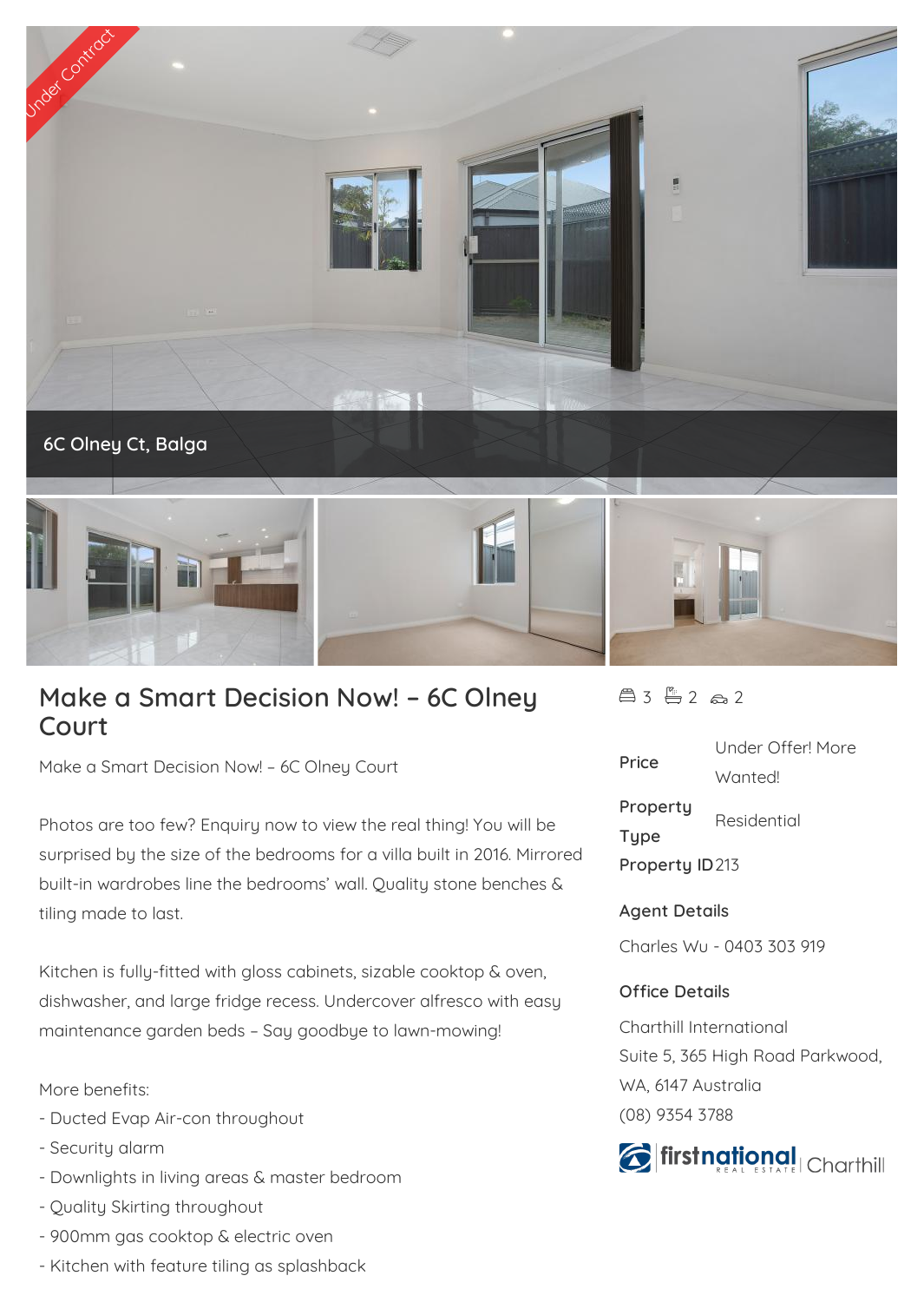

## **Make a Smart Decision Now! – 6C Olney Court**

Make a Smart Decision Now! – 6C Olney Court

Photos are too few? Enquiry now to view the real thing! You will be surprised by the size of the bedrooms for a villa built in 2016. Mirrored built-in wardrobes line the bedrooms' wall. Quality stone benches & tiling made to last.

Kitchen is fully-fitted with gloss cabinets, sizable cooktop & oven, dishwasher, and large fridge recess. Undercover alfresco with easy maintenance garden beds – Say goodbye to lawn-mowing!

More benefits:

- Ducted Evap Air-con throughout
- Security alarm
- Downlights in living areas & master bedroom
- Quality Skirting throughout
- 900mm gas cooktop & electric oven
- Kitchen with feature tiling as splashback

 $43 - 2 2 2$ 

| Price          | Under Offer! More |
|----------------|-------------------|
|                | Wantedl           |
| Property       | Residential       |
| <b>Type</b>    |                   |
| Property ID213 |                   |
|                |                   |

## **Agent Details**

Charles Wu - 0403 303 919

## **Office Details**

Charthill International Suite 5, 365 High Road Parkwood, WA, 6147 Australia (08) 9354 3788